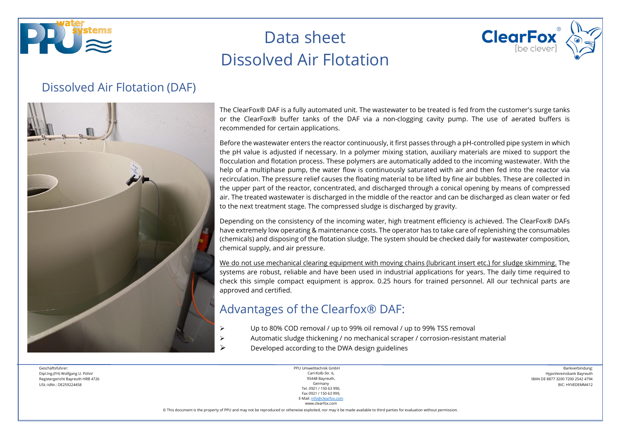



#### Dissolved Air Flotation (DAF)



The ClearFox® DAF is a fully automated unit. The wastewater to be treated is fed from the customer's surge tanks or the ClearFox® buffer tanks of the DAF via a non-clogging cavity pump. The use of aerated buffers is recommended for certain applications.

Before the wastewater enters the reactor continuously, it first passes through a pH-controlled pipe system in which the pH value is adjusted if necessary. In a polymer mixing station, auxiliary materials are mixed to support the flocculation and flotation process. These polymers are automatically added to the incoming wastewater. With the help of a multiphase pump, the water flow is continuously saturated with air and then fed into the reactor via recirculation. The pressure relief causes the floating material to be lifted by fine air bubbles. These are collected in the upper part of the reactor, concentrated, and discharged through a conical opening by means of compressed air. The treated wastewater is discharged in the middle of the reactor and can be discharged as clean water or fed to the next treatment stage. The compressed sludge is discharged by gravity.

Depending on the consistency of the incoming water, high treatment efficiency is achieved. The ClearFox® DAFs have extremely low operating & maintenance costs. The operator has to take care of replenishing the consumables (chemicals) and disposing of the flotation sludge. The system should be checked daily for wastewater composition, chemical supply, and air pressure.

We do not use mechanical clearing equipment with moving chains (lubricant insert etc.) for sludge skimming. The systems are robust, reliable and have been used in industrial applications for years. The daily time required to check this simple compact equipment is approx. 0.25 hours for trained personnel. All our technical parts are approved and certified.

### Advantages of the Clearfox® DAF:

- Up to 80% COD removal / up to 99% oil removal / up to 99% TSS removal
- $\triangleright$  Automatic sludge thickening / no mechanical scraper / corrosion-resistant material
	- Developed according to the DWA design guidelines

Geschäftsführer: Dipl.Ing.(FH) Wolfgang U. Pöhnl Registergericht Bayreuth HRB 4726 USt.-IdNr.: DE259224458

PPU Umwelttechnik GmbH Carl-Kolb-Str. 6, 95448 Bayreuth, Germany Tel. 0921 / 150 63 990, Fax 0921 / 150 63 999, E-Mail[: info@clearfox.com](mailto:info@clearfox.com)

www.clearfox.com

Bankverbindung: HypoVereinsbank Bayreuth IBAN DE 8877 3200 7200 2542 4794 BIC: HYVEDEMM412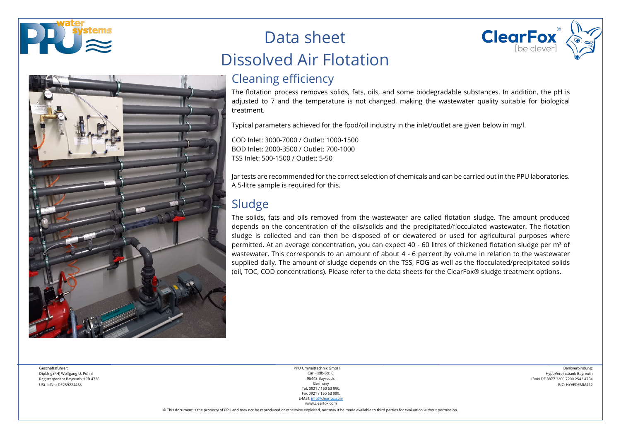



## Cleaning efficiency

The flotation process removes solids, fats, oils, and some biodegradable substances. In addition, the pH is adjusted to 7 and the temperature is not changed, making the wastewater quality suitable for biological treatment.

Typical parameters achieved for the food/oil industry in the inlet/outlet are given below in mg/l.

COD Inlet: 3000-7000 / Outlet: 1000-1500 BOD Inlet: 2000-3500 / Outlet: 700-1000 TSS Inlet: 500-1500 / Outlet: 5-50

Jar tests are recommended for the correct selection of chemicals and can be carried out in the PPU laboratories. A 5-litre sample is required for this.

## Sludge

The solids, fats and oils removed from the wastewater are called flotation sludge. The amount produced depends on the concentration of the oils/solids and the precipitated/flocculated wastewater. The flotation sludge is collected and can then be disposed of or dewatered or used for agricultural purposes where permitted. At an average concentration, you can expect 40 - 60 litres of thickened flotation sludge per m<sup>3</sup> of wastewater. This corresponds to an amount of about 4 - 6 percent by volume in relation to the wastewater supplied daily. The amount of sludge depends on the TSS, FOG as well as the flocculated/precipitated solids (oil, TOC, COD concentrations). Please refer to the data sheets for the ClearFox® sludge treatment options.

Geschäftsführer: Dipl.Ing.(FH) Wolfgang U. Pöhnl Registergericht Bayreuth HRB 4726 USt.-IdNr.: DE259224458

PPU Umwelttechnik GmbH Carl-Kolb-Str. 6, 95448 Bayreuth, Germany Tel. 0921 / 150 63 990, Fax 0921 / 150 63 999, E-Mail[: info@clearfox.com](mailto:info@clearfox.com)

Bankverbindung: HypoVereinsbank Bayreuth IBAN DE 8877 3200 7200 2542 4794 BIC: HYVEDEMM412

**ClearFox** 

www.clearfox.com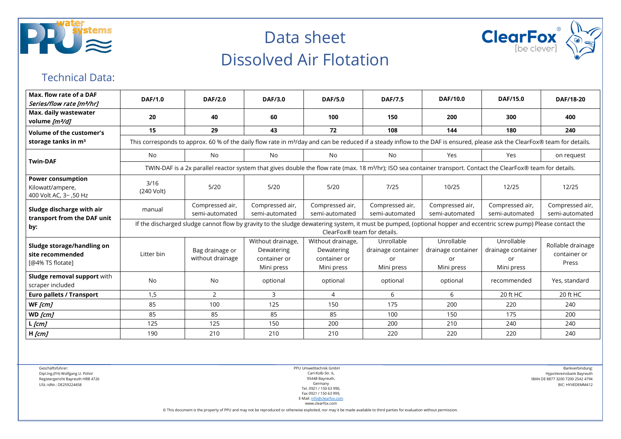



#### Technical Data:

| Max. flow rate of a DAF<br>Series/flow rate [m3/hr]                    | <b>DAF/1.0</b>                                                                                                                                                                                   | <b>DAF/2.0</b>                                                                                                                                                              | <b>DAF/3.0</b>                                                | <b>DAF/5.0</b>                                                | <b>DAF/7.5</b>                                       | <b>DAF/10.0</b>                                      | <b>DAF/15.0</b>                                      | DAF/18-20                                  |  |  |  |  |
|------------------------------------------------------------------------|--------------------------------------------------------------------------------------------------------------------------------------------------------------------------------------------------|-----------------------------------------------------------------------------------------------------------------------------------------------------------------------------|---------------------------------------------------------------|---------------------------------------------------------------|------------------------------------------------------|------------------------------------------------------|------------------------------------------------------|--------------------------------------------|--|--|--|--|
| Max. daily wastewater<br>volume [m3/d]                                 | 20                                                                                                                                                                                               | 40                                                                                                                                                                          | 60                                                            | 100                                                           | 150                                                  | 200                                                  | 300                                                  | 400                                        |  |  |  |  |
| <b>Volume of the customer's</b>                                        | 15                                                                                                                                                                                               | 29                                                                                                                                                                          | 43                                                            | 72                                                            | 108                                                  | 144                                                  | 180                                                  | 240                                        |  |  |  |  |
| storage tanks in m <sup>3</sup>                                        | This corresponds to approx. 60 % of the daily flow rate in m <sup>3</sup> /day and can be reduced if a steady inflow to the DAF is ensured, please ask the ClearFox® team for details.           |                                                                                                                                                                             |                                                               |                                                               |                                                      |                                                      |                                                      |                                            |  |  |  |  |
| <b>Twin-DAF</b>                                                        | No                                                                                                                                                                                               | No                                                                                                                                                                          | No                                                            | No.                                                           | No                                                   | Yes                                                  | Yes                                                  | on request                                 |  |  |  |  |
|                                                                        |                                                                                                                                                                                                  | TWIN-DAF is a 2x parallel reactor system that gives double the flow rate (max. 18 m <sup>3</sup> /hr); ISO sea container transport. Contact the ClearFox® team for details. |                                                               |                                                               |                                                      |                                                      |                                                      |                                            |  |  |  |  |
| <b>Power consumption</b><br>Kilowatt/ampere,<br>400 Volt AC, 3~, 50 Hz | 3/16<br>(240 Volt)                                                                                                                                                                               | $5/20$                                                                                                                                                                      | $5/20$                                                        | 5/20                                                          | 7/25                                                 | 10/25                                                | 12/25                                                | 12/25                                      |  |  |  |  |
| Sludge discharge with air<br>transport from the DAF unit<br>by:        | manual                                                                                                                                                                                           | Compressed air,<br>semi-automated                                                                                                                                           | Compressed air,<br>semi-automated                             | Compressed air,<br>semi-automated                             | Compressed air,<br>semi-automated                    | Compressed air,<br>semi-automated                    | Compressed air,<br>semi-automated                    | Compressed air,<br>semi-automated          |  |  |  |  |
|                                                                        | If the discharged sludge cannot flow by gravity to the sludge dewatering system, it must be pumped, (optional hopper and eccentric screw pump) Please contact the<br>ClearFox® team for details. |                                                                                                                                                                             |                                                               |                                                               |                                                      |                                                      |                                                      |                                            |  |  |  |  |
| Sludge storage/handling on<br>site recommended<br>[@4% TS flotate]     | Litter bin                                                                                                                                                                                       | Bag drainage or<br>without drainage                                                                                                                                         | Without drainage,<br>Dewatering<br>container or<br>Mini press | Without drainage,<br>Dewatering<br>container or<br>Mini press | Unrollable<br>drainage container<br>or<br>Mini press | Unrollable<br>drainage container<br>or<br>Mini press | Unrollable<br>drainage container<br>or<br>Mini press | Rollable drainage<br>container or<br>Press |  |  |  |  |
| Sludge removal support with<br>scraper included                        | <b>No</b>                                                                                                                                                                                        | No                                                                                                                                                                          | optional                                                      | optional                                                      | optional                                             | optional                                             | recommended                                          | Yes, standard                              |  |  |  |  |
| <b>Euro pallets / Transport</b>                                        | 1,5                                                                                                                                                                                              | $\overline{2}$                                                                                                                                                              | 3                                                             | 4                                                             | 6                                                    | 6                                                    | 20 ft HC                                             | 20 ft HC                                   |  |  |  |  |
| WF [cm]                                                                | 85                                                                                                                                                                                               | 100                                                                                                                                                                         | 125                                                           | 150                                                           | 175                                                  | 200                                                  | 220                                                  | 240                                        |  |  |  |  |
| WD [cm]                                                                | 85                                                                                                                                                                                               | 85                                                                                                                                                                          | 85                                                            | 85                                                            | 100                                                  | 150                                                  | 175                                                  | 200                                        |  |  |  |  |
| $L$ [ $cm$ ]                                                           | 125                                                                                                                                                                                              | 125                                                                                                                                                                         | 150                                                           | 200                                                           | 200                                                  | 210                                                  | 240                                                  | 240                                        |  |  |  |  |
| $H$ [ $cm$ ]                                                           | 190                                                                                                                                                                                              | 210                                                                                                                                                                         | 210                                                           | 210                                                           | 220                                                  | 220                                                  | 220                                                  | 240                                        |  |  |  |  |

Geschäftsführer: Dipl.Ing.(FH) Wolfgang U. Pöhnl Registergericht Bayreuth HRB 4726 USt.-IdNr.: DE259224458

PPU Umwelttechnik GmbH Carl-Kolb-Str. 6, 95448 Bayreuth, Germany Tel. 0921 / 150 63 990, Fax 0921 / 150 63 999, E-Mail[: info@clearfox.com](mailto:info@clearfox.com)

Bankverbindung: HypoVereinsbank Bayreuth IBAN DE 8877 3200 7200 2542 4794 BIC: HYVEDEMM412

www.clearfox.com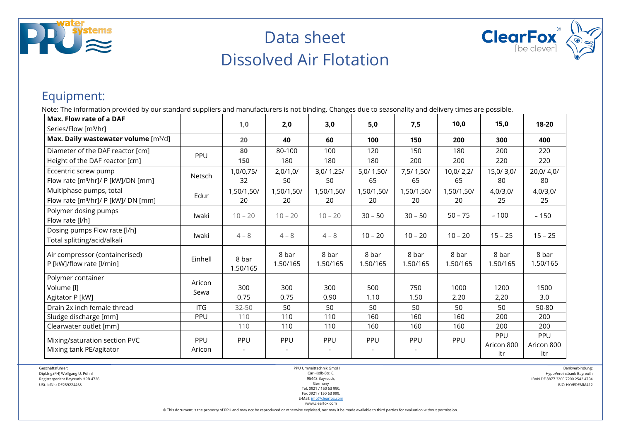



### Equipment:

Note: The information provided by our standard suppliers and manufacturers is not binding. Changes due to seasonality and delivery times are possible.

| Max. Flow rate of a DAF                                     |            |                   |                   |                   |                   |                   | 10,0              | 15,0              | 18-20             |
|-------------------------------------------------------------|------------|-------------------|-------------------|-------------------|-------------------|-------------------|-------------------|-------------------|-------------------|
| Series/Flow [m <sup>3</sup> /hr]                            |            | 1,0               | 2,0               | 3,0               | 5,0               | 7,5               |                   |                   |                   |
| Max. Daily wastewater volume [m3/d]                         |            | 20                | 40                | 60                | 100               | 150               | 200               | 300               | 400               |
| Diameter of the DAF reactor [cm]                            | PPU        | 80                | 80-100            | 100               | 120               | 150               | 180               | 200               | 220               |
| Height of the DAF reactor [cm]                              |            | 150               | 180               | 180               | 180               | 200               | 200               | 220               | 220               |
| Eccentric screw pump                                        | Netsch     | 1,0/0,75/         | 2,0/1,0/          | 3,0/1,25/         | 5,0/1,50/         | 7,5/1,50/         | 10,0/2,2/         | 15,0/3,0/         | 20,0/4,0/         |
| Flow rate [m <sup>3</sup> /hr]/ P [kW]/DN [mm]              |            | 32                | 50                | 50                | 65                | 65                | 65                | 80                | 80                |
| Multiphase pumps, total                                     | Edur       | 1,50/1,50/        | 1,50/1,50/        | 1,50/1,50/        | 1,50/1,50/        | 1,50/1,50/        | 1,50/1,50/        | 4,0/3,0/          | 4,0/3,0/          |
| Flow rate [m <sup>3</sup> /hr]/ P [kW]/ DN [mm]             |            | 20                | 20                | 20                | 20                | 20                | 20                | 25                | 25                |
| Polymer dosing pumps<br>Flow rate [l/h]                     | Iwaki      | $10 - 20$         | $10 - 20$         | $10 - 20$         | $30 - 50$         | $30 - 50$         | $50 - 75$         | ~100              | ~150              |
| Dosing pumps Flow rate [l/h]<br>Total splitting/acid/alkali | Iwaki      | $4 - 8$           | $4 - 8$           | $4 - 8$           | $10 - 20$         | $10 - 20$         | $10 - 20$         | $15 - 25$         | $15 - 25$         |
| Air compressor (containerised)<br>P [kW]/flow rate [l/min]  | Einhell    | 8 bar<br>1.50/165 | 8 bar<br>1.50/165 | 8 bar<br>1.50/165 | 8 bar<br>1.50/165 | 8 bar<br>1.50/165 | 8 bar<br>1.50/165 | 8 bar<br>1.50/165 | 8 bar<br>1.50/165 |
| Polymer container                                           | Aricon     |                   |                   |                   |                   |                   |                   |                   |                   |
| Volume [l]                                                  | Sewa       | 300               | 300               | 300               | 500               | 750               | 1000              | 1200              | 1500              |
| Agitator P [kW]                                             |            | 0.75              | 0.75              | 0.90              | 1.10              | 1.50              | 2.20              | 2,20              | 3.0               |
| Drain 2x inch female thread                                 | <b>ITG</b> | $32 - 50$         | 50                | 50                | 50                | 50                | 50                | 50                | 50-80             |
| Sludge discharge [mm]                                       | PPU        | 110               | 110               | 110               | 160               | 160               | 160               | 200               | 200               |
| Clearwater outlet [mm]                                      |            | 110               | 110               | 110               | 160               | 160               | 160               | 200               | 200               |
| Mixing/saturation section PVC                               | PPU        | PPU               | PPU               | PPU               | PPU               | PPU               | PPU               | PPU               | PPU               |
| Mixing tank PE/agitator                                     | Aricon     |                   |                   |                   |                   |                   |                   | Aricon 800        | Aricon 800        |
|                                                             |            |                   |                   |                   |                   |                   |                   | ltr               | ltr               |

Geschäftsführer:

Dipl.Ing.(FH) Wolfgang U. Pöhnl Registergericht Bayreuth HRB 4726 USt.-IdNr.: DE259224458

PPU Umwelttechnik GmbH Carl-Kolb-Str. 6, 95448 Bayreuth, Germany Tel. 0921 / 150 63 990, Fax 0921 / 150 63 999,

Bankverbindung: HypoVereinsbank Bayreuth IBAN DE 8877 3200 7200 2542 4794 BIC: HYVEDEMM412

E-Mail[: info@clearfox.com](mailto:info@clearfox.com) www.clearfox.com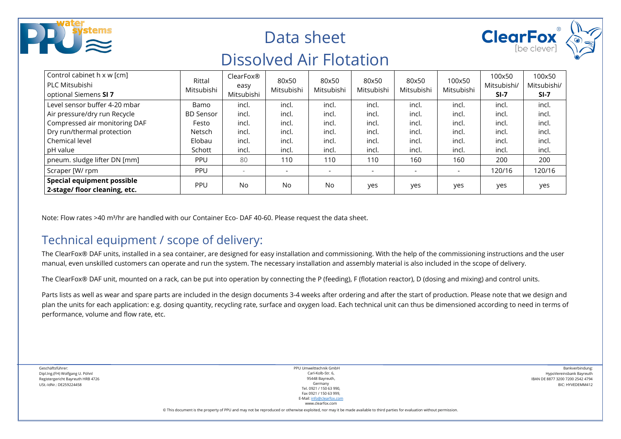| stems)<br>KIZ                                                         |                      | Data sheet<br><b>Dissolved Air Flotation</b> |                     | <b>ClearFox</b>     |                     |                     |                      |                                 |                                 |
|-----------------------------------------------------------------------|----------------------|----------------------------------------------|---------------------|---------------------|---------------------|---------------------|----------------------|---------------------------------|---------------------------------|
| Control cabinet h x w [cm]<br>PLC Mitsubishi<br>optional Siemens SI 7 | Rittal<br>Mitsubishi | ClearFox®<br>easy<br>Mitsubishi              | 80x50<br>Mitsubishi | 80x50<br>Mitsubishi | 80x50<br>Mitsubishi | 80x50<br>Mitsubishi | 100x50<br>Mitsubishi | 100x50<br>Mitsubishi/<br>$SI-7$ | 100x50<br>Mitsubishi/<br>$SI-7$ |
| Level sensor buffer 4-20 mbar                                         | Bamo                 | incl.                                        | incl.               | incl.               | incl.               | incl.               | incl.                | incl.                           | incl.                           |
| Air pressure/dry run Recycle                                          | <b>BD Sensor</b>     | incl.                                        | incl.               | incl                | incl.               | incl.               | incl.                | incl.                           | incl.                           |
| Compressed air monitoring DAF                                         | Festo                | incl.                                        | incl.               | incl                | incl.               | incl.               | incl.                | incl.                           | incl.                           |
| Dry run/thermal protection                                            | Netsch               | incl.                                        | incl.               | incl                | incl.               | incl.               | incl.                | incl.                           | incl.                           |
| Chemical level                                                        | Elobau               | incl.                                        | incl.               | incl                | incl.               | incl.               | incl.                | incl.                           | incl.                           |
| pH value                                                              | Schott               | incl.                                        | incl.               | incl.               | incl.               | incl.               | incl.                | incl.                           | incl.                           |
| pneum. sludge lifter DN [mm]                                          | <b>PPU</b>           | 80                                           | 110                 | 110                 | 110                 | 160                 | 160                  | 200                             | 200                             |
| Scraper [W/ rpm                                                       | <b>PPU</b>           | $\overline{\phantom{a}}$                     |                     |                     |                     |                     |                      | 120/16                          | 120/16                          |
| <b>Special equipment possible</b><br>2-stage/ floor cleaning, etc.    | PPU                  | No                                           | <b>No</b>           | <b>No</b>           | ves                 | yes                 | yes                  | yes                             | yes                             |

Note: Flow rates >40 m<sup>3</sup>/hr are handled with our Container Eco- DAF 40-60. Please request the data sheet.

### Technical equipment / scope of delivery:

The ClearFox® DAF units, installed in a sea container, are designed for easy installation and commissioning. With the help of the commissioning instructions and the user manual, even unskilled customers can operate and run the system. The necessary installation and assembly material is also included in the scope of delivery.

The ClearFox® DAF unit, mounted on a rack, can be put into operation by connecting the P (feeding), F (flotation reactor), D (dosing and mixing) and control units.

Parts lists as well as wear and spare parts are included in the design documents 3-4 weeks after ordering and after the start of production. Please note that we design and plan the units for each application: e.g. dosing quantity, recycling rate, surface and oxygen load. Each technical unit can thus be dimensioned according to need in terms of performance, volume and flow rate, etc.

Geschäftsführer: Dipl.Ing.(FH) Wolfgang U. Pöhnl Registergericht Bayreuth HRB 4726 USt.-IdNr.: DE259224458

PPU Umwelttechnik GmbH Carl-Kolb-Str. 6, 95448 Bayreuth, Germany Tel. 0921 / 150 63 990, Fax 0921 / 150 63 999, E-Mail[: info@clearfox.com](mailto:info@clearfox.com)

www.clearfox.com

Bankverbindung: HypoVereinsbank Bayreuth IBAN DE 8877 3200 7200 2542 4794 BIC: HYVEDEMM412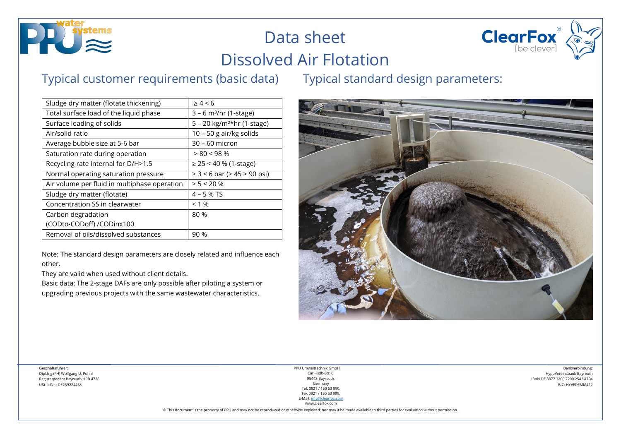



### Typical customer requirements (basic data) Typical standard design parameters:

Sludge dry matter (flotate thickening)  $\vert$   $\geq 4 < 6$ Total surface load of the liquid phase  $\vert$  3 – 6 m<sup>3</sup>/hr (1-stage) Surface loading of solids  $5 - 20$  kg/m<sup>2\*</sup>hr (1-stage) Air/solid ratio 10 – 50 g air/kg solids Average bubble size at 5-6 bar 30 – 60 micron Saturation rate during operation  $> 80 < 98 \%$ Recycling rate internal for D/H>1.5  $| \ge 25 < 40$  % (1-stage) Normal operating saturation pressure  $| \geq 3 \lt 6$  bar ( $\geq 45$  > 90 psi) Air volume per fluid in multiphase operation  $\vert$  > 5 < 20 % Sludge dry matter (flotate)  $4 - 5 % TS$ Concentration SS in clearwater  $\vert$  < 1 % Carbon degradation (CODto-CODoff) /CODinx100 80 % Removal of oils/dissolved substances  $90\%$ 

Note: The standard design parameters are closely related and influence each other.

They are valid when used without client details.

Basic data: The 2-stage DAFs are only possible after piloting a system or upgrading previous projects with the same wastewater characteristics.



PPU Umwelttechnik GmbH Carl-Kolb-Str. 6, 95448 Bayreuth, Germany Tel. 0921 / 150 63 990, Fax 0921 / 150 63 999, E-Mail[: info@clearfox.com](mailto:info@clearfox.com)

Bankverbindung: HypoVereinsbank Bayreuth IBAN DE 8877 3200 7200 2542 4794 BIC: HYVEDEMM412

www.clearfox.com